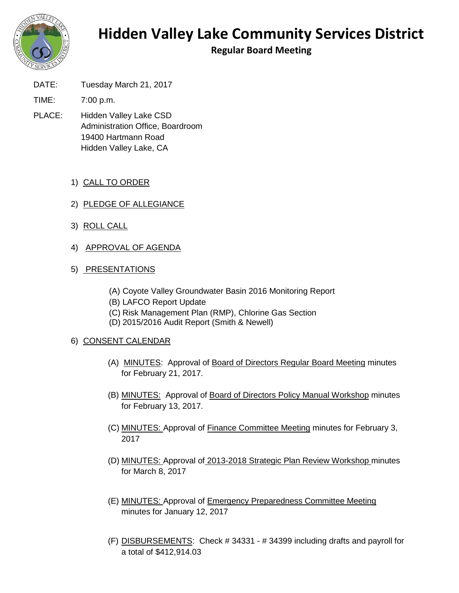

## **Hidden Valley Lake Community Services District**

**Regular Board Meeting**

DATE: Tuesday March 21, 2017

TIME: 7:00 p.m.

- PLACE: Hidden Valley Lake CSD Administration Office, Boardroom 19400 Hartmann Road Hidden Valley Lake, CA
	- 1) CALL TO ORDER
	- 2) PLEDGE OF ALLEGIANCE
	- 3) ROLL CALL
	- 4) APPROVAL OF AGENDA

## 5) PRESENTATIONS

- (A) Coyote Valley Groundwater Basin 2016 Monitoring Report
- (B) LAFCO Report Update
- (C) Risk Management Plan (RMP), Chlorine Gas Section
- (D) 2015/2016 Audit Report (Smith & Newell)

## 6) CONSENT CALENDAR

- (A) MINUTES: Approval of Board of Directors Regular Board Meeting minutes for February 21, 2017.
- (B) MINUTES: Approval of Board of Directors Policy Manual Workshop minutes for February 13, 2017.
- (C) MINUTES: Approval of Finance Committee Meeting minutes for February 3, 2017
- (D) MINUTES: Approval of 2013-2018 Strategic Plan Review Workshop minutes for March 8, 2017
- (E) MINUTES: Approval of Emergency Preparedness Committee Meeting minutes for January 12, 2017
- (F) DISBURSEMENTS: Check # 34331 # 34399 including drafts and payroll for a total of \$412,914.03